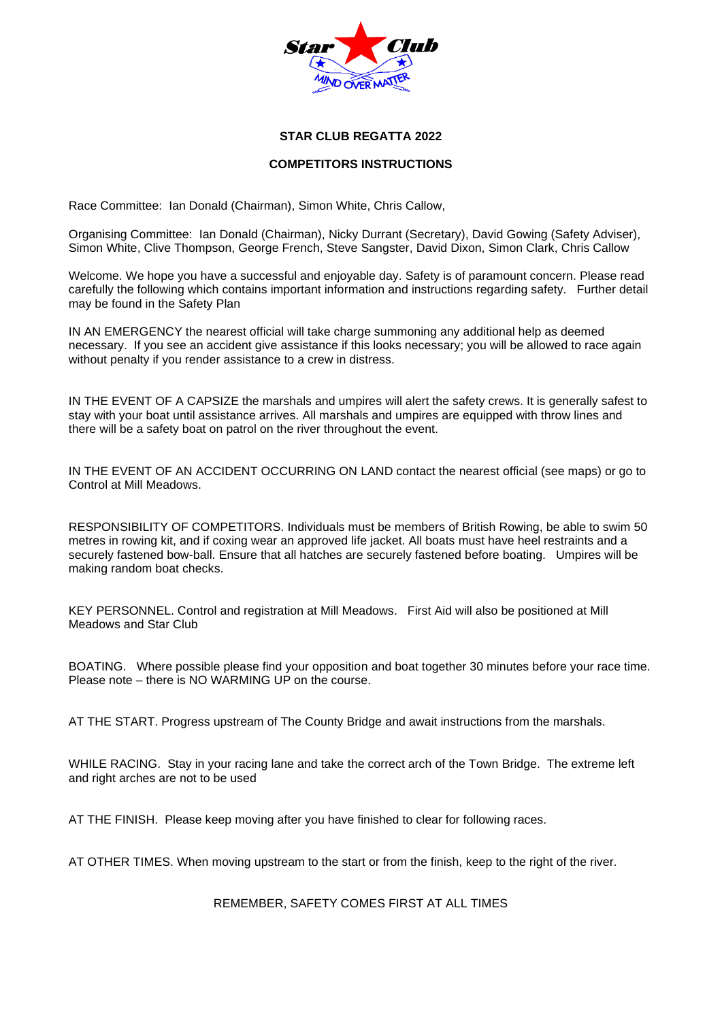

## **STAR CLUB REGATTA 2022**

#### **COMPETITORS INSTRUCTIONS**

Race Committee: Ian Donald (Chairman), Simon White, Chris Callow,

Organising Committee: Ian Donald (Chairman), Nicky Durrant (Secretary), David Gowing (Safety Adviser), Simon White, Clive Thompson, George French, Steve Sangster, David Dixon, Simon Clark, Chris Callow

Welcome. We hope you have a successful and enjoyable day. Safety is of paramount concern. Please read carefully the following which contains important information and instructions regarding safety. Further detail may be found in the Safety Plan

IN AN EMERGENCY the nearest official will take charge summoning any additional help as deemed necessary. If you see an accident give assistance if this looks necessary; you will be allowed to race again without penalty if you render assistance to a crew in distress.

IN THE EVENT OF A CAPSIZE the marshals and umpires will alert the safety crews. It is generally safest to stay with your boat until assistance arrives. All marshals and umpires are equipped with throw lines and there will be a safety boat on patrol on the river throughout the event.

IN THE EVENT OF AN ACCIDENT OCCURRING ON LAND contact the nearest official (see maps) or go to Control at Mill Meadows.

RESPONSIBILITY OF COMPETITORS. Individuals must be members of British Rowing, be able to swim 50 metres in rowing kit, and if coxing wear an approved life jacket. All boats must have heel restraints and a securely fastened bow-ball. Ensure that all hatches are securely fastened before boating. Umpires will be making random boat checks.

KEY PERSONNEL. Control and registration at Mill Meadows. First Aid will also be positioned at Mill Meadows and Star Club

BOATING. Where possible please find your opposition and boat together 30 minutes before your race time. Please note – there is NO WARMING UP on the course.

AT THE START. Progress upstream of The County Bridge and await instructions from the marshals.

WHILE RACING. Stay in your racing lane and take the correct arch of the Town Bridge. The extreme left and right arches are not to be used

AT THE FINISH. Please keep moving after you have finished to clear for following races.

AT OTHER TIMES. When moving upstream to the start or from the finish, keep to the right of the river.

REMEMBER, SAFETY COMES FIRST AT ALL TIMES